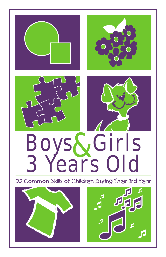

22 Common Skills of Children During Their 3rd Year



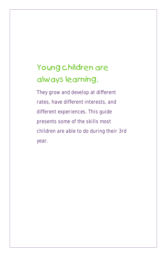## Young children are always learning.

They grow and develop at different rates, have different interests, and different experiences. This guide presents some of the skills most children are able to do during their 3rd year.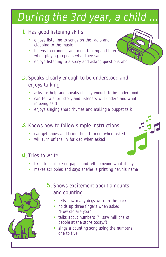# During the 3rd year, a child

#### l. Has good listening skills

- enjoys listening to songs on the radio and clapping to the music •
- listens to grandma and mom talking and later, when playing, repeats what they said
- enjoys listening to a story and asking questions about it

#### 2. Speaks clearly enough to be understood and enjoys talking

- asks for help and speaks clearly enough to be understood
- can tell a short story and listeners will understand what is being said
- enjoys singing short rhymes and making a puppet talk

#### 3. Knows how to follow simple instructions

- can get shoes and bring them to mom when asked
- will turn off the TV for dad when asked

#### 4. Tries to write

- likes to scribble on paper and tell someone what it says
- makes scribbles and says she/he is printing her/his name



#### 5. Shows excitement about amounts and counting

- tells how many dogs were in the park
- " How old are you?" • holds up three fingers when asked
- talks about numbers ("I saw millions of people at the store today.")
- sings a counting song using the numbers one to five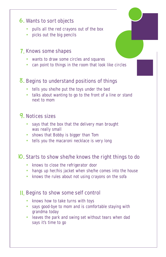#### **6.** Wants to sort objects

- pulls all the red crayons out of the box •
- picks out the big pencils

#### 7. Knows some shapes

- wants to draw some circles and squares •
- can point to things in the room that look like circles

#### 8. Begins to understand positions of things

- tells you she/he put the toys under the bed
- talks about wanting to go to the front of a line or stand next to mom

#### 9. Notices sizes

- says that the box that the delivery man brought was really small
- shows that Bobby is bigger than Tom
- tells you the macaroni necklace is very long

#### lO. Starts to show she/he knows the right things to do

- knows to close the refrigerator door
- hangs up her/his jacket when she/he comes into the house
- knows the rules about not using crayons on the sofa

#### II. Begins to show some self control

- knows how to take turns with toys
- says good-bye to mom and is comfortable staying with grandma today •
- leaves the park and swing set without tears when dad says it's time to go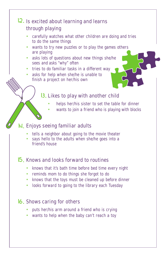#### Is excited about learning and learns 12. through playing

- carefully watches what other children are doing and tries to do the same things •
- wants to try new puzzles or to play the games others are playing
- asks lots of questions about new things she/he sees and asks "why" often •
- tries to do familiar tasks in a different way •
- asks for help when she/he is unable to finish a project on her/his own •

#### 13. Likes to play with another child

- helps her/his sister to set the table for dinner •
- wants to join a friend who is playing with blocks •

#### Enjoys seeing familiar adults 14.

- tells a neighbor about going to the movie theater
- says hello to the adults when she/he goes into a friend's house •

#### **15.** Knows and looks forward to routines

- knows that it's bath time before bed time every night
- reminds mom to do things she forgot to do
- knows that the toys must be cleaned up before dinner •
- looks forward to going to the library each Tuesday

#### Shows caring for others 16.

- puts her/his arm around a friend who is crying •
- wants to help when the baby can't reach a toy •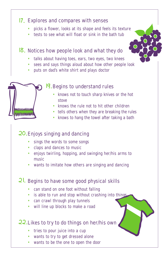#### Explores and compares with senses 17.

- picks a flower, looks at its shape and feels its texture •
- tests to see what will float or sink in the bath tub

#### 18. Notices how people look and what they do

- talks about having toes, ears, two eyes, two knees
- sees and says things aloud about how other people look
- puts on dad's white shirt and plays doctor

#### 19. Begins to understand rules

- knows not to touch sharp knives or the hot stove
- knows the rule not to hit other children
- tells others when they are breaking the rules
- knows to hang the towel after taking a bath

#### 20. Enjoys singing and dancing

- sings the words to some songs
- claps and dances to music
- enjoys twirling, hopping, and swinging her/his arms to music
- wants to imitate how others are singing and dancing

#### 21. Begins to have some good physical skills

- can stand on one foot without falling
- is able to run and stop without crashing into things
- can crawl through play tunnels
- will line up blocks to make a road

#### 22. Likes to try to do things on her/his own

- tries to pour juice into a cup
- wants to try to get dressed alone
- wants to be the one to open the door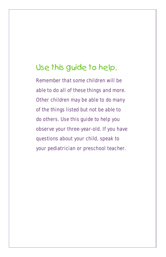## Use this guide to help.

Remember that some children will be able to do all of these things and more. Other children may be able to do many of the things listed but not be able to do others. Use this guide to help you observe your three-year-old. If you have questions about your child, speak to your pediatrician or preschool teacher.